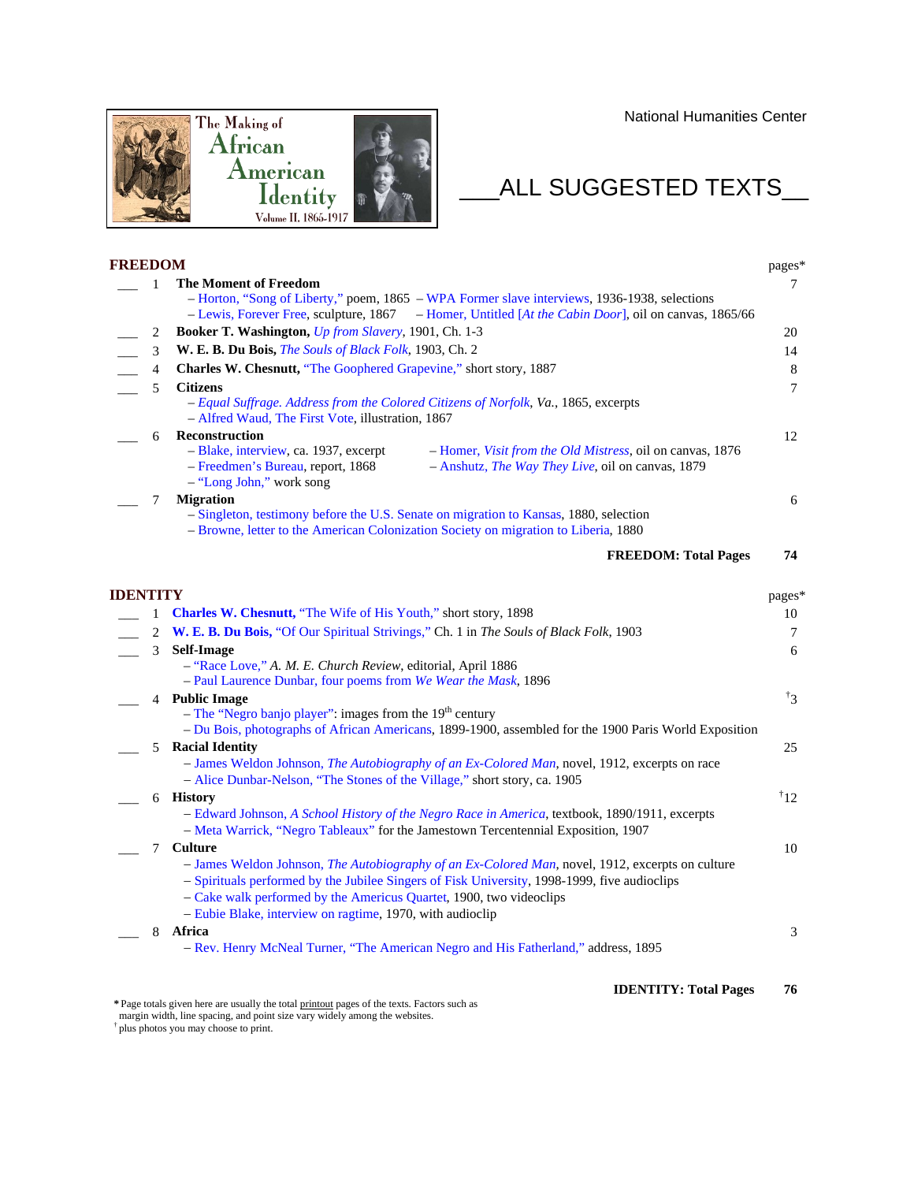National Humanities Center



## $\_$ ALL SUGGESTED TEXTS $\_$

| <b>FREEDOM</b> |                                                                                                            | pages*          |
|----------------|------------------------------------------------------------------------------------------------------------|-----------------|
| $\mathbf{1}$   | <b>The Moment of Freedom</b>                                                                               | 7               |
|                | - Horton, "Song of Liberty," poem, 1865 - WPA Former slave interviews, 1936-1938, selections               |                 |
|                | - Lewis, Forever Free, sculpture, 1867 – Homer, Untitled [At the Cabin Door], oil on canvas, 1865/66       |                 |
| 2              | <b>Booker T. Washington, <i>Up from Slavery</i></b> , 1901, Ch. 1-3                                        | 20              |
| 3              | W. E. B. Du Bois, The Souls of Black Folk, 1903, Ch. 2                                                     | 14              |
| $\overline{4}$ | Charles W. Chesnutt, "The Goophered Grapevine," short story, 1887                                          | 8               |
| 5              | <b>Citizens</b>                                                                                            | 7               |
|                | - Equal Suffrage. Address from the Colored Citizens of Norfolk, Va., 1865, excerpts                        |                 |
|                | - Alfred Waud, The First Vote, illustration, 1867                                                          |                 |
| 6              | <b>Reconstruction</b>                                                                                      | 12              |
|                | - Blake, interview, ca. 1937, excerpt<br>- Homer, <i>Visit from the Old Mistress</i> , oil on canvas, 1876 |                 |
|                | - Freedmen's Bureau, report, 1868<br>- Anshutz, The Way They Live, oil on canvas, 1879                     |                 |
|                | - "Long John," work song                                                                                   |                 |
| 7              | <b>Migration</b>                                                                                           | 6               |
|                | - Singleton, testimony before the U.S. Senate on migration to Kansas, 1880, selection                      |                 |
|                | - Browne, letter to the American Colonization Society on migration to Liberia, 1880                        |                 |
|                | <b>FREEDOM: Total Pages</b>                                                                                | 74              |
| IDENTITY       |                                                                                                            | pages*          |
| $\mathbf{1}$   | <b>Charles W. Chesnutt, "The Wife of His Youth," short story, 1898</b>                                     | 10              |
| 2              | W. E. B. Du Bois, "Of Our Spiritual Strivings," Ch. 1 in The Souls of Black Folk, 1903                     | 7               |
| 3              | <b>Self-Image</b>                                                                                          | 6               |
|                | - "Race Love," A. M. E. Church Review, editorial, April 1886                                               |                 |
|                | - Paul Laurence Dunbar, four poems from We Wear the Mask, 1896                                             |                 |
|                | 4 Public Image                                                                                             | $\overline{3}$  |
|                | - The "Negro banjo player": images from the $19th$ century                                                 |                 |
|                | - Du Bois, photographs of African Americans, 1899-1900, assembled for the 1900 Paris World Exposition      |                 |
| 5              | <b>Racial Identity</b>                                                                                     | 25              |
|                | - James Weldon Johnson, The Autobiography of an Ex-Colored Man, novel, 1912, excerpts on race              |                 |
|                | - Alice Dunbar-Nelson, "The Stones of the Village," short story, ca. 1905                                  |                 |
|                | 6 History                                                                                                  | $\overline{1}2$ |
|                | - Edward Johnson, A School History of the Negro Race in America, textbook, 1890/1911, excerpts             |                 |
|                | - Meta Warrick, "Negro Tableaux" for the Jamestown Tercentennial Exposition, 1907                          |                 |
| 7              | Culture                                                                                                    | 10              |
|                | - James Weldon Johnson, The Autobiography of an Ex-Colored Man, novel, 1912, excerpts on culture           |                 |
|                | - Spirituals performed by the Jubilee Singers of Fisk University, 1998-1999, five audioclips               |                 |
|                | - Cake walk performed by the Americus Quartet, 1900, two videoclips                                        |                 |
|                | - Eubie Blake, interview on ragtime, 1970, with audioclip                                                  |                 |
|                | 8 Africa                                                                                                   | 3               |
|                | - Rev. Henry McNeal Turner, "The American Negro and His Fatherland," address, 1895                         |                 |
|                | <b>IDENTITY: Total Pages</b>                                                                               | 76              |
|                |                                                                                                            |                 |

margin width, line spacing, and point size vary widely among the websites.

† plus photos you may choose to print.

**<sup>\*</sup>** Page totals given here are usually the total printout pages of the texts. Factors such as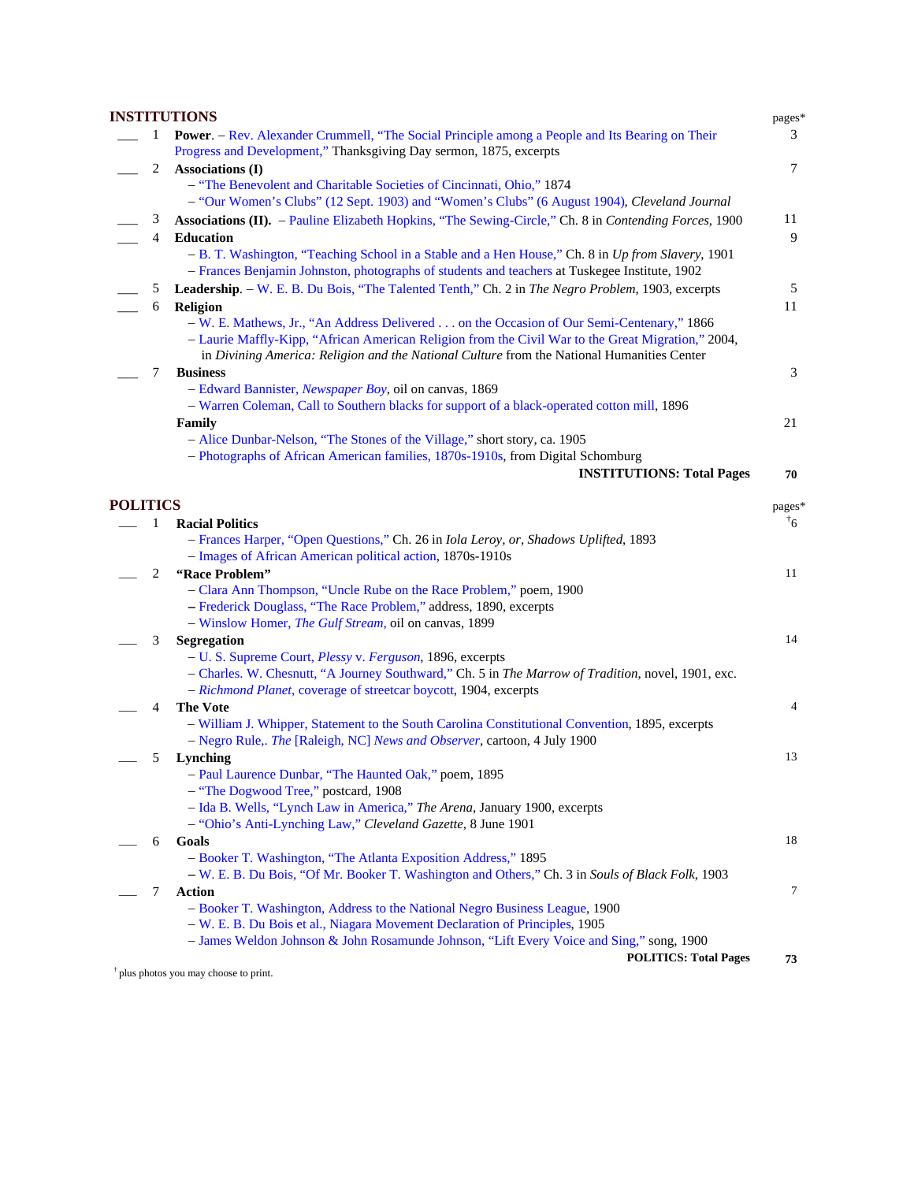|                 |              | <b>INSTITUTIONS</b>                                                                                                                                                                                                                                                                          | pages*         |
|-----------------|--------------|----------------------------------------------------------------------------------------------------------------------------------------------------------------------------------------------------------------------------------------------------------------------------------------------|----------------|
|                 | 1            | <b>Power.</b> - Rev. Alexander Crummell, "The Social Principle among a People and Its Bearing on Their<br>Progress and Development," Thanksgiving Day sermon, 1875, excerpts                                                                                                                 | 3              |
|                 | 2            | <b>Associations (I)</b>                                                                                                                                                                                                                                                                      | $\tau$         |
|                 |              | - "The Benevolent and Charitable Societies of Cincinnati, Ohio," 1874                                                                                                                                                                                                                        |                |
|                 |              | - "Our Women's Clubs" (12 Sept. 1903) and "Women's Clubs" (6 August 1904), Cleveland Journal                                                                                                                                                                                                 |                |
|                 | 3            | Associations (II). - Pauline Elizabeth Hopkins, "The Sewing-Circle," Ch. 8 in Contending Forces, 1900                                                                                                                                                                                        | 11             |
|                 | 4            | <b>Education</b>                                                                                                                                                                                                                                                                             | 9              |
|                 |              | - B. T. Washington, "Teaching School in a Stable and a Hen House," Ch. 8 in Up from Slavery, 1901<br>- Frances Benjamin Johnston, photographs of students and teachers at Tuskegee Institute, 1902                                                                                           |                |
|                 | 5            | Leadership. - W. E. B. Du Bois, "The Talented Tenth," Ch. 2 in The Negro Problem, 1903, excerpts                                                                                                                                                                                             | 5              |
|                 | 6            | Religion                                                                                                                                                                                                                                                                                     | 11             |
|                 |              | - W. E. Mathews, Jr., "An Address Delivered on the Occasion of Our Semi-Centenary," 1866<br>- Laurie Maffly-Kipp, "African American Religion from the Civil War to the Great Migration," 2004,<br>in Divining America: Religion and the National Culture from the National Humanities Center |                |
|                 | 7            | <b>Business</b>                                                                                                                                                                                                                                                                              | 3              |
|                 |              | - Edward Bannister, <i>Newspaper Boy</i> , oil on canvas, 1869                                                                                                                                                                                                                               |                |
|                 |              | - Warren Coleman, Call to Southern blacks for support of a black-operated cotton mill, 1896                                                                                                                                                                                                  |                |
|                 |              | Family                                                                                                                                                                                                                                                                                       | 21             |
|                 |              | - Alice Dunbar-Nelson, "The Stones of the Village," short story, ca. 1905                                                                                                                                                                                                                    |                |
|                 |              | - Photographs of African American families, 1870s-1910s, from Digital Schomburg                                                                                                                                                                                                              |                |
|                 |              | <b>INSTITUTIONS: Total Pages</b>                                                                                                                                                                                                                                                             | 70             |
| <b>POLITICS</b> |              |                                                                                                                                                                                                                                                                                              | pages*         |
|                 | 1            | <b>Racial Politics</b>                                                                                                                                                                                                                                                                       | $^{\dagger}$ 6 |
|                 |              | - Frances Harper, "Open Questions," Ch. 26 in <i>Iola Leroy, or, Shadows Uplifted</i> , 1893                                                                                                                                                                                                 |                |
|                 |              | - Images of African American political action, 1870s-1910s                                                                                                                                                                                                                                   |                |
|                 | $\mathbf{2}$ | "Race Problem"                                                                                                                                                                                                                                                                               | 11             |
|                 |              | - Clara Ann Thompson, "Uncle Rube on the Race Problem," poem, 1900                                                                                                                                                                                                                           |                |
|                 |              | - Frederick Douglass, "The Race Problem," address, 1890, excerpts                                                                                                                                                                                                                            |                |
|                 |              | - Winslow Homer, <i>The Gulf Stream</i> , oil on canvas, 1899                                                                                                                                                                                                                                |                |
|                 | 3            | Segregation                                                                                                                                                                                                                                                                                  | 14             |
|                 |              | - U. S. Supreme Court, <i>Plessy v. Ferguson</i> , 1896, excerpts                                                                                                                                                                                                                            |                |
|                 |              | - Charles. W. Chesnutt, "A Journey Southward," Ch. 5 in The Marrow of Tradition, novel, 1901, exc.                                                                                                                                                                                           |                |
|                 |              | - Richmond Planet, coverage of streetcar boycott, 1904, excerpts                                                                                                                                                                                                                             |                |
|                 | 4            | <b>The Vote</b>                                                                                                                                                                                                                                                                              | 4              |
|                 |              | - William J. Whipper, Statement to the South Carolina Constitutional Convention, 1895, excerpts                                                                                                                                                                                              |                |
|                 |              | - Negro Rule,. The [Raleigh, NC] News and Observer, cartoon, 4 July 1900                                                                                                                                                                                                                     |                |
|                 | 5            | Lynching                                                                                                                                                                                                                                                                                     | 13             |
|                 |              | - Paul Laurence Dunbar, "The Haunted Oak," poem, 1895                                                                                                                                                                                                                                        |                |
|                 |              | - "The Dogwood Tree," postcard, 1908                                                                                                                                                                                                                                                         |                |
|                 |              | - Ida B. Wells, "Lynch Law in America," The Arena, January 1900, excerpts                                                                                                                                                                                                                    |                |
|                 |              | - "Ohio's Anti-Lynching Law," Cleveland Gazette, 8 June 1901                                                                                                                                                                                                                                 |                |
|                 | 6            | Goals                                                                                                                                                                                                                                                                                        | 18             |
|                 |              | - Booker T. Washington, "The Atlanta Exposition Address," 1895                                                                                                                                                                                                                               |                |
|                 |              | - W. E. B. Du Bois, "Of Mr. Booker T. Washington and Others," Ch. 3 in Souls of Black Folk, 1903                                                                                                                                                                                             |                |
|                 | 7            | <b>Action</b>                                                                                                                                                                                                                                                                                | 7              |
|                 |              | - Booker T. Washington, Address to the National Negro Business League, 1900                                                                                                                                                                                                                  |                |
|                 |              | - W. E. B. Du Bois et al., Niagara Movement Declaration of Principles, 1905                                                                                                                                                                                                                  |                |
|                 |              | - James Weldon Johnson & John Rosamunde Johnson, "Lift Every Voice and Sing," song, 1900                                                                                                                                                                                                     |                |
|                 |              | <b>POLITICS: Total Pages</b>                                                                                                                                                                                                                                                                 | 73             |

† plus photos you may choose to print.